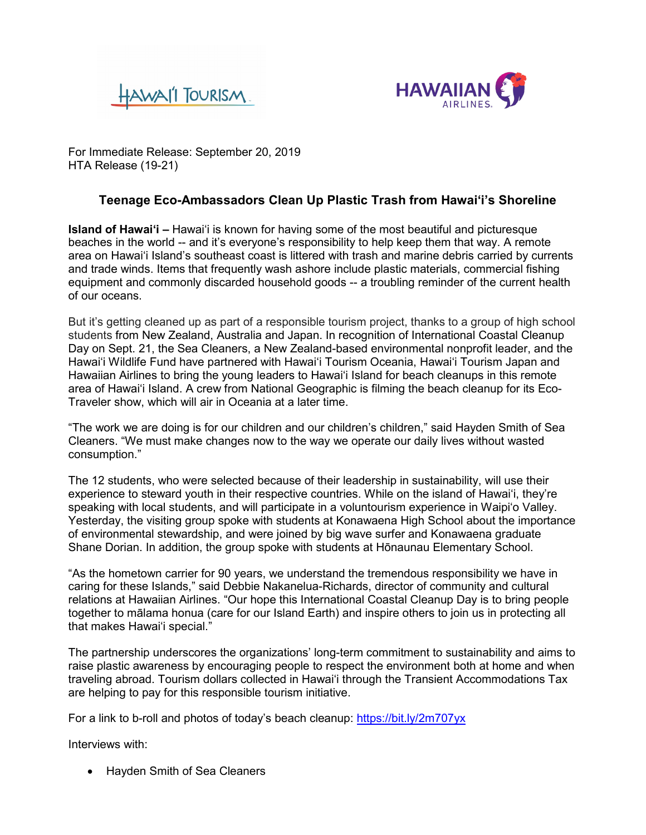



For Immediate Release: September 20, 2019 HTA Release (19-21)

## **Teenage Eco-Ambassadors Clean Up Plastic Trash from Hawai'i's Shoreline**

**Island of Hawai'i –** Hawai'i is known for having some of the most beautiful and picturesque beaches in the world -- and it's everyone's responsibility to help keep them that way. A remote area on Hawai'i Island's southeast coast is littered with trash and marine debris carried by currents and trade winds. Items that frequently wash ashore include plastic materials, commercial fishing equipment and commonly discarded household goods -- a troubling reminder of the current health of our oceans.

But it's getting cleaned up as part of a responsible tourism project, thanks to a group of high school students from New Zealand, Australia and Japan. In recognition of International Coastal Cleanup Day on Sept. 21, the Sea Cleaners, a New Zealand-based environmental nonprofit leader, and the Hawai'i Wildlife Fund have partnered with Hawai'i Tourism Oceania, Hawai'i Tourism Japan and Hawaiian Airlines to bring the young leaders to Hawai'i Island for beach cleanups in this remote area of Hawai'i Island. A crew from National Geographic is filming the beach cleanup for its Eco-Traveler show, which will air in Oceania at a later time.

"The work we are doing is for our children and our children's children," said Hayden Smith of Sea Cleaners. "We must make changes now to the way we operate our daily lives without wasted consumption."

The 12 students, who were selected because of their leadership in sustainability, will use their experience to steward youth in their respective countries. While on the island of Hawai'i, they're speaking with local students, and will participate in a voluntourism experience in Waipi'o Valley. Yesterday, the visiting group spoke with students at Konawaena High School about the importance of environmental stewardship, and were joined by big wave surfer and Konawaena graduate Shane Dorian. In addition, the group spoke with students at Hōnaunau Elementary School.

"As the hometown carrier for 90 years, we understand the tremendous responsibility we have in caring for these Islands," said Debbie Nakanelua-Richards, director of community and cultural relations at Hawaiian Airlines. "Our hope this International Coastal Cleanup Day is to bring people together to mālama honua (care for our Island Earth) and inspire others to join us in protecting all that makes Hawai'i special."

The partnership underscores the organizations' long-term commitment to sustainability and aims to raise plastic awareness by encouraging people to respect the environment both at home and when traveling abroad. Tourism dollars collected in Hawai'i through the Transient Accommodations Tax are helping to pay for this responsible tourism initiative.

For a link to b-roll and photos of today's beach cleanup: <https://bit.ly/2m707yx>

Interviews with:

• Hayden Smith of Sea Cleaners